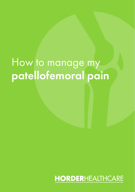# How to manage my patellofemoral pain

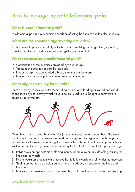# How to manage my **patellofemoral pain**

# What is patellofemoral pain?

Patellofemoral pain is a very common condition affecting both males and females knee cap.

## What are the common aggravating activities?

It often results in pain during daily activities such as walking, running, sitting, squatting, kneeling, walking up and down stairs and getting out of a chair.

# What can ease my patellofemoral pain?

- Continuation of the exercises provided by your therapist
- Taping techniques to support the knee cap
- If your therapist recommended a brace than this can be worn
- Foot orthotics may help if they have been recommended

## What might cause my knee pain?

There are many causes for patellofemoral pain. Excessive loading or varied and rapid changes to physical activity which your knee isn't used to are thought to contribute to causing your symptoms.



Other things such as poor biomechanics (how you move) can also contribute. The knee cap tracks in a natural groove as we bend and straighten our leg; when we have poor biomechanics the knee cap is thought to move to the outside of the knee, stopping it from tracking normally in its groove. There are many factors that can lead to this poor tracking.

- 1. Pelvis drops on opposite side, placing increased pressure on outside of leg, pulling the knee cap outwards.
- 2. Due to weakness around the hip muscles the hip falls inwards and rolls under the knee cap.
- 3. Thigh muscles may be weak meaning there is inadequate support for the knee and knee cap.
- 4. Foot rolls in excessively causing the lower leg and knee to drop in under the knee cap.

#### www.horderhealthcare.co.uk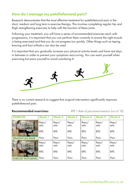# How do I manage my patellofemoral pain?

Research demonstrates that the most effective treatment for patellofemoral pain in the short, medium and long term is exercise therapy. This involves completing regular hip and thigh strengthening exercises to help with the function of these joints.

Following your treatment, you will have a series of recommended exercises each with progressions, it is important that you can perform them correctly to ensure the right muscle is being exercised and that you do not progress too quickly. Other things such as taping, bracing and foot orthotics can also be used.

It is important that you gradually increase your physical activity levels and have rest days in between in order to prevent your symptoms reoccurring. You can exert yourself when exercising but pace yourself to avoid overdoing it!



There is no current research to suggest that surgical intervention significantly improves patellofemoral pain.

#### Recommended exercises:

*RPE = Rate of perceived exertion (out of 10)*

| <b>EXERCISE</b>           | Week 1         | Week 2         | Week 3         | <b>Week 4</b>  | Week 5         | Week 6         |
|---------------------------|----------------|----------------|----------------|----------------|----------------|----------------|
|                           | Reps/<br>sets: | Reps/<br>sets: | Reps/<br>sets: | Reps/<br>sets: | Reps/<br>sets: | Reps/<br>sets: |
| Ł.                        | RPE:           | RPE:           | RPE:           | RPE:           | RPE:           | RPE:           |
| <b>STRAIGHT LEG RAISE</b> | Pain:          | Pain:          | Pain:          | Pain:          | Pain:          | Pain:          |
|                           | Reps/<br>sets: | Reps/<br>sets: | Reps/<br>sets: | Reps/<br>sets: | Reps/<br>sets: | Reps/<br>sets: |
| Ŋ                         | RPE:           | RPE:           | RPE:           | RPE:           | RPE:           | RPE:           |
| <b>KNEE EXT WITH BAND</b> | Pain:          | Pain:          | Pain:          | Pain:          | Pain:          | Pain:          |